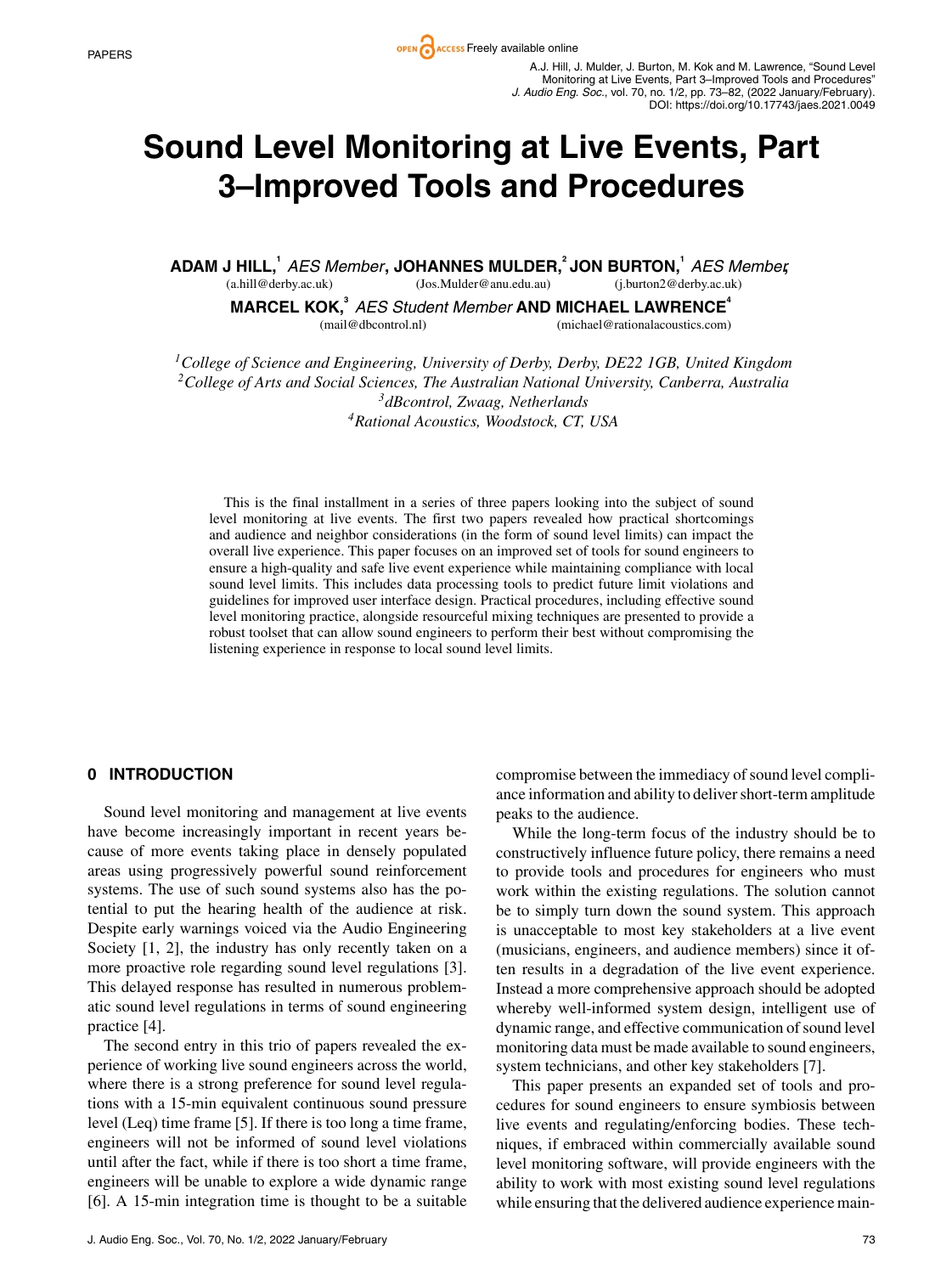**PAPERS PAPERS PAPERS PAPERS** A.J. Hill, J. Mulder, J. Burton, M. Kok and M. Lawrence, "Sound Level Monitoring at Live Events, Part 3–Improved Tools and Procedures" *J. Audio Eng. Soc.*, vol. 70, no. 1/2, pp. 73–82, (2022 January/February). DOI: https://doi.org/10.17743/jaes.2021.0049

# **Sound Level Monitoring at Live Events, Part 3–Improved Tools and Procedures**

**ADAM J HILL,<sup>1</sup>** *AES Member* **, JOHANNES MULDER,2 JON BURTON,1** *AES Member* **,** (a.hill@derby.ac.uk) (Jos.Mulder@anu.edu.au) (j.burton2@derby.ac.uk)

**MARCEL KOK,<sup>3</sup>** *AES Student Member* **AND MICHAEL LAWRENCE<sup>4</sup>** (mail@dbcontrol.nl) (michael@rationalacoustics.com)

*1College of Science and Engineering, University of Derby, Derby, DE22 1GB, United Kingdom 2College of Arts and Social Sciences, The Australian National University, Canberra, Australia 3dBcontrol, Zwaag, Netherlands 4Rational Acoustics, Woodstock, CT, USA*

This is the final installment in a series of three papers looking into the subject of sound level monitoring at live events. The first two papers revealed how practical shortcomings and audience and neighbor considerations (in the form of sound level limits) can impact the overall live experience. This paper focuses on an improved set of tools for sound engineers to ensure a high-quality and safe live event experience while maintaining compliance with local sound level limits. This includes data processing tools to predict future limit violations and guidelines for improved user interface design. Practical procedures, including effective sound level monitoring practice, alongside resourceful mixing techniques are presented to provide a robust toolset that can allow sound engineers to perform their best without compromising the listening experience in response to local sound level limits.

#### **0 INTRODUCTION**

Sound level monitoring and management at live events have become increasingly important in recent years because of more events taking place in densely populated areas using progressively powerful sound reinforcement systems. The use of such sound systems also has the potential to put the hearing health of the audience at risk. Despite early warnings voiced via the Audio Engineering Society [1, 2], the industry has only recently taken on a more proactive role regarding sound level regulations [3]. This delayed response has resulted in numerous problematic sound level regulations in terms of sound engineering practice [4].

The second entry in this trio of papers revealed the experience of working live sound engineers across the world, where there is a strong preference for sound level regulations with a 15-min equivalent continuous sound pressure level (Leq) time frame [5]. If there is too long a time frame, engineers will not be informed of sound level violations until after the fact, while if there is too short a time frame, engineers will be unable to explore a wide dynamic range [6]. A 15-min integration time is thought to be a suitable compromise between the immediacy of sound level compliance information and ability to deliver short-term amplitude peaks to the audience.

While the long-term focus of the industry should be to constructively influence future policy, there remains a need to provide tools and procedures for engineers who must work within the existing regulations. The solution cannot be to simply turn down the sound system. This approach is unacceptable to most key stakeholders at a live event (musicians, engineers, and audience members) since it often results in a degradation of the live event experience. Instead a more comprehensive approach should be adopted whereby well-informed system design, intelligent use of dynamic range, and effective communication of sound level monitoring data must be made available to sound engineers, system technicians, and other key stakeholders [7].

This paper presents an expanded set of tools and procedures for sound engineers to ensure symbiosis between live events and regulating/enforcing bodies. These techniques, if embraced within commercially available sound level monitoring software, will provide engineers with the ability to work with most existing sound level regulations while ensuring that the delivered audience experience main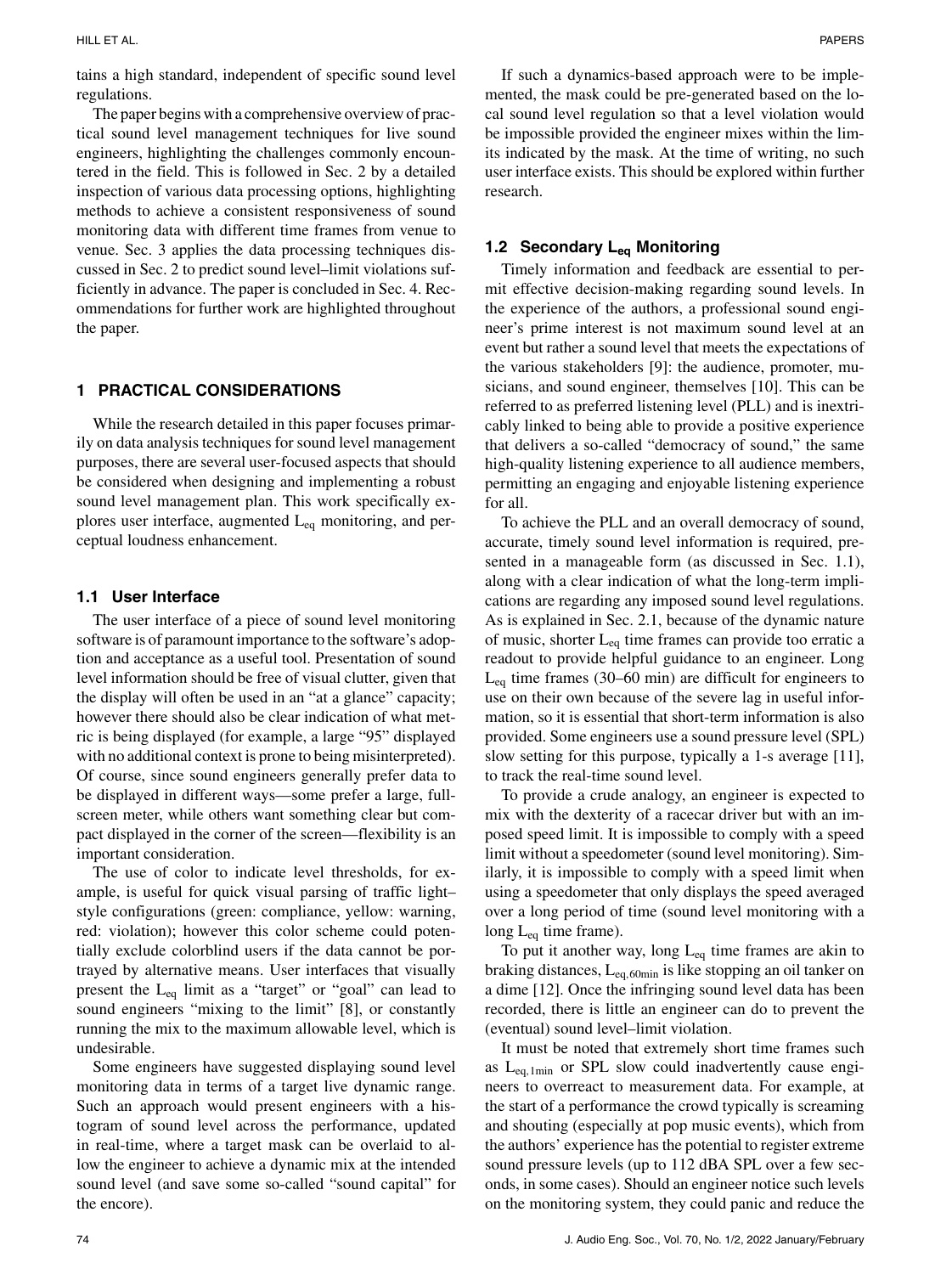tains a high standard, independent of specific sound level regulations.

The paper begins with a comprehensive overview of practical sound level management techniques for live sound engineers, highlighting the challenges commonly encountered in the field. This is followed in Sec. 2 by a detailed inspection of various data processing options, highlighting methods to achieve a consistent responsiveness of sound monitoring data with different time frames from venue to venue. Sec. 3 applies the data processing techniques discussed in Sec. 2 to predict sound level–limit violations sufficiently in advance. The paper is concluded in Sec. 4. Recommendations for further work are highlighted throughout the paper.

# **1 PRACTICAL CONSIDERATIONS**

While the research detailed in this paper focuses primarily on data analysis techniques for sound level management purposes, there are several user-focused aspects that should be considered when designing and implementing a robust sound level management plan. This work specifically explores user interface, augmented  $L_{eq}$  monitoring, and perceptual loudness enhancement.

#### **1.1 User Interface**

The user interface of a piece of sound level monitoring software is of paramount importance to the software's adoption and acceptance as a useful tool. Presentation of sound level information should be free of visual clutter, given that the display will often be used in an "at a glance" capacity; however there should also be clear indication of what metric is being displayed (for example, a large "95" displayed with no additional context is prone to being misinterpreted). Of course, since sound engineers generally prefer data to be displayed in different ways—some prefer a large, fullscreen meter, while others want something clear but compact displayed in the corner of the screen—flexibility is an important consideration.

The use of color to indicate level thresholds, for example, is useful for quick visual parsing of traffic light– style configurations (green: compliance, yellow: warning, red: violation); however this color scheme could potentially exclude colorblind users if the data cannot be portrayed by alternative means. User interfaces that visually present the Leq limit as a "target" or "goal" can lead to sound engineers "mixing to the limit" [8], or constantly running the mix to the maximum allowable level, which is undesirable.

Some engineers have suggested displaying sound level monitoring data in terms of a target live dynamic range. Such an approach would present engineers with a histogram of sound level across the performance, updated in real-time, where a target mask can be overlaid to allow the engineer to achieve a dynamic mix at the intended sound level (and save some so-called "sound capital" for the encore).

If such a dynamics-based approach were to be implemented, the mask could be pre-generated based on the local sound level regulation so that a level violation would be impossible provided the engineer mixes within the limits indicated by the mask. At the time of writing, no such user interface exists. This should be explored within further research.

## **1.2 Secondary Leq Monitoring**

Timely information and feedback are essential to permit effective decision-making regarding sound levels. In the experience of the authors, a professional sound engineer's prime interest is not maximum sound level at an event but rather a sound level that meets the expectations of the various stakeholders [9]: the audience, promoter, musicians, and sound engineer, themselves [10]. This can be referred to as preferred listening level (PLL) and is inextricably linked to being able to provide a positive experience that delivers a so-called "democracy of sound," the same high-quality listening experience to all audience members, permitting an engaging and enjoyable listening experience for all.

To achieve the PLL and an overall democracy of sound, accurate, timely sound level information is required, presented in a manageable form (as discussed in Sec. 1.1), along with a clear indication of what the long-term implications are regarding any imposed sound level regulations. As is explained in Sec. 2.1, because of the dynamic nature of music, shorter  $L_{eq}$  time frames can provide too erratic a readout to provide helpful guidance to an engineer. Long  $L_{eq}$  time frames (30–60 min) are difficult for engineers to use on their own because of the severe lag in useful information, so it is essential that short-term information is also provided. Some engineers use a sound pressure level (SPL) slow setting for this purpose, typically a 1-s average [11], to track the real-time sound level.

To provide a crude analogy, an engineer is expected to mix with the dexterity of a racecar driver but with an imposed speed limit. It is impossible to comply with a speed limit without a speedometer (sound level monitoring). Similarly, it is impossible to comply with a speed limit when using a speedometer that only displays the speed averaged over a long period of time (sound level monitoring with a long  $L_{eq}$  time frame).

To put it another way, long  $L_{eq}$  time frames are akin to braking distances, Leq,60min is like stopping an oil tanker on a dime [12]. Once the infringing sound level data has been recorded, there is little an engineer can do to prevent the (eventual) sound level–limit violation.

It must be noted that extremely short time frames such as  $L_{eq,1min}$  or SPL slow could inadvertently cause engineers to overreact to measurement data. For example, at the start of a performance the crowd typically is screaming and shouting (especially at pop music events), which from the authors' experience has the potential to register extreme sound pressure levels (up to 112 dBA SPL over a few seconds, in some cases). Should an engineer notice such levels on the monitoring system, they could panic and reduce the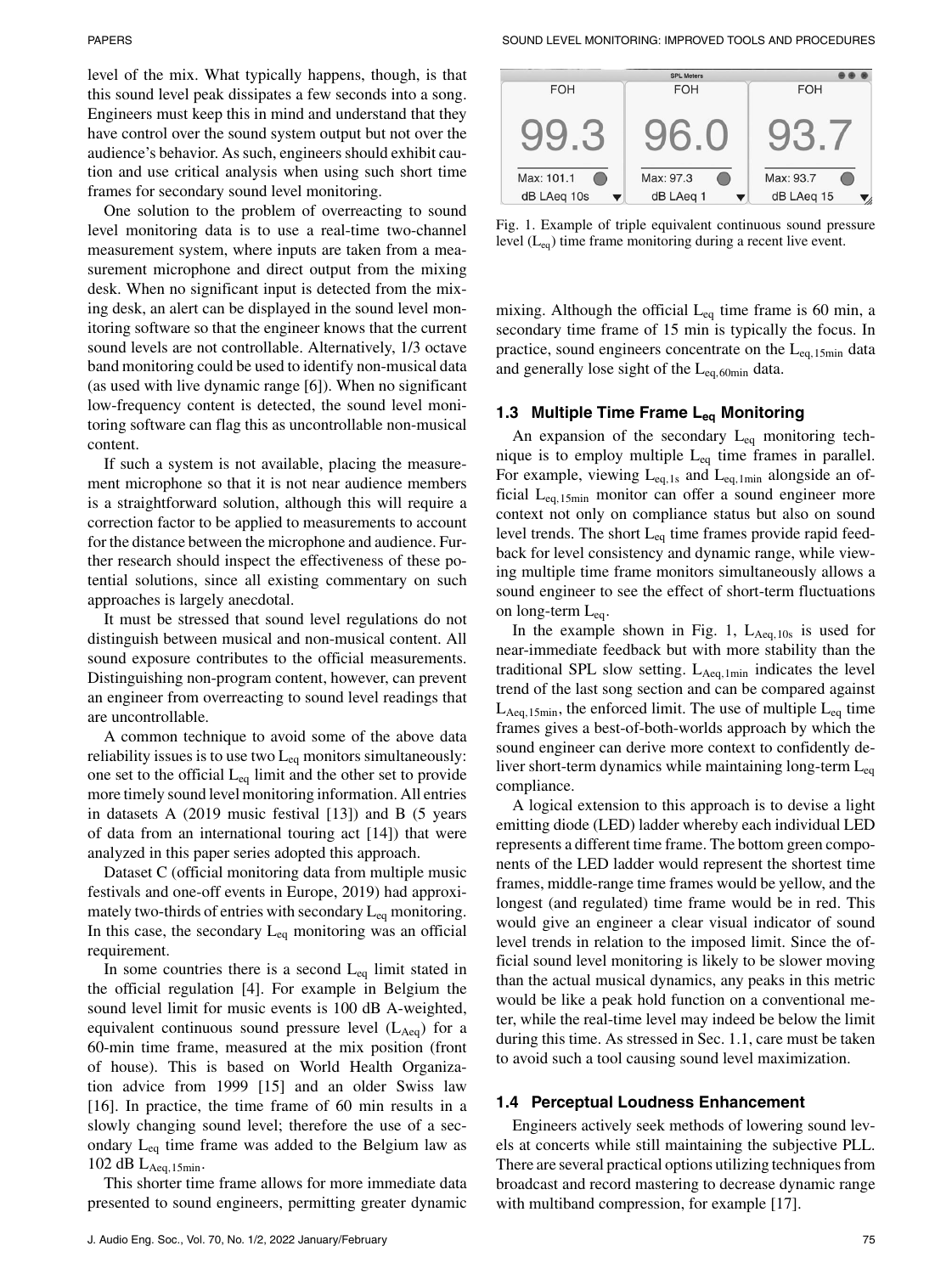level of the mix. What typically happens, though, is that this sound level peak dissipates a few seconds into a song. Engineers must keep this in mind and understand that they have control over the sound system output but not over the audience's behavior. As such, engineers should exhibit caution and use critical analysis when using such short time frames for secondary sound level monitoring.

One solution to the problem of overreacting to sound level monitoring data is to use a real-time two-channel measurement system, where inputs are taken from a measurement microphone and direct output from the mixing desk. When no significant input is detected from the mixing desk, an alert can be displayed in the sound level monitoring software so that the engineer knows that the current sound levels are not controllable. Alternatively, 1/3 octave band monitoring could be used to identify non-musical data (as used with live dynamic range [6]). When no significant low-frequency content is detected, the sound level monitoring software can flag this as uncontrollable non-musical content.

If such a system is not available, placing the measurement microphone so that it is not near audience members is a straightforward solution, although this will require a correction factor to be applied to measurements to account for the distance between the microphone and audience. Further research should inspect the effectiveness of these potential solutions, since all existing commentary on such approaches is largely anecdotal.

It must be stressed that sound level regulations do not distinguish between musical and non-musical content. All sound exposure contributes to the official measurements. Distinguishing non-program content, however, can prevent an engineer from overreacting to sound level readings that are uncontrollable.

A common technique to avoid some of the above data reliability issues is to use two  $L_{eq}$  monitors simultaneously: one set to the official  $L_{eq}$  limit and the other set to provide more timely sound level monitoring information. All entries in datasets A (2019 music festival [13]) and B (5 years of data from an international touring act [14]) that were analyzed in this paper series adopted this approach.

Dataset C (official monitoring data from multiple music festivals and one-off events in Europe, 2019) had approximately two-thirds of entries with secondary  $L_{eq}$  monitoring. In this case, the secondary  $L_{eq}$  monitoring was an official requirement.

In some countries there is a second  $L_{eq}$  limit stated in the official regulation [4]. For example in Belgium the sound level limit for music events is 100 dB A-weighted, equivalent continuous sound pressure level  $(L<sub>Aea</sub>)$  for a 60-min time frame, measured at the mix position (front of house). This is based on World Health Organization advice from 1999 [15] and an older Swiss law [16]. In practice, the time frame of 60 min results in a slowly changing sound level; therefore the use of a secondary  $L_{eq}$  time frame was added to the Belgium law as 102 dB  $L_{Aeq,15min}$ .

This shorter time frame allows for more immediate data presented to sound engineers, permitting greater dynamic



Fig. 1. Example of triple equivalent continuous sound pressure level  $(L_{eq})$  time frame monitoring during a recent live event.

mixing. Although the official  $L_{eq}$  time frame is 60 min, a secondary time frame of 15 min is typically the focus. In practice, sound engineers concentrate on the  $L_{eq,15min}$  data and generally lose sight of the  $L_{eq,60min}$  data.

# **1.3 Multiple Time Frame Leq Monitoring**

An expansion of the secondary  $L_{eq}$  monitoring technique is to employ multiple Leq time frames in parallel. For example, viewing  $L_{eq,1s}$  and  $L_{eq,1min}$  alongside an official Leq,15min monitor can offer a sound engineer more context not only on compliance status but also on sound level trends. The short  $L_{eq}$  time frames provide rapid feedback for level consistency and dynamic range, while viewing multiple time frame monitors simultaneously allows a sound engineer to see the effect of short-term fluctuations on long-term  $L_{eq}$ .

In the example shown in Fig. 1,  $L_{Aeq,10s}$  is used for near-immediate feedback but with more stability than the traditional SPL slow setting.  $L_{Aeq,1min}$  indicates the level trend of the last song section and can be compared against  $L_{Aeq,15min}$ , the enforced limit. The use of multiple  $L_{eq}$  time frames gives a best-of-both-worlds approach by which the sound engineer can derive more context to confidently deliver short-term dynamics while maintaining long-term  $L_{eq}$ compliance.

A logical extension to this approach is to devise a light emitting diode (LED) ladder whereby each individual LED represents a different time frame. The bottom green components of the LED ladder would represent the shortest time frames, middle-range time frames would be yellow, and the longest (and regulated) time frame would be in red. This would give an engineer a clear visual indicator of sound level trends in relation to the imposed limit. Since the official sound level monitoring is likely to be slower moving than the actual musical dynamics, any peaks in this metric would be like a peak hold function on a conventional meter, while the real-time level may indeed be below the limit during this time. As stressed in Sec. 1.1, care must be taken to avoid such a tool causing sound level maximization.

#### **1.4 Perceptual Loudness Enhancement**

Engineers actively seek methods of lowering sound levels at concerts while still maintaining the subjective PLL. There are several practical options utilizing techniques from broadcast and record mastering to decrease dynamic range with multiband compression, for example [17].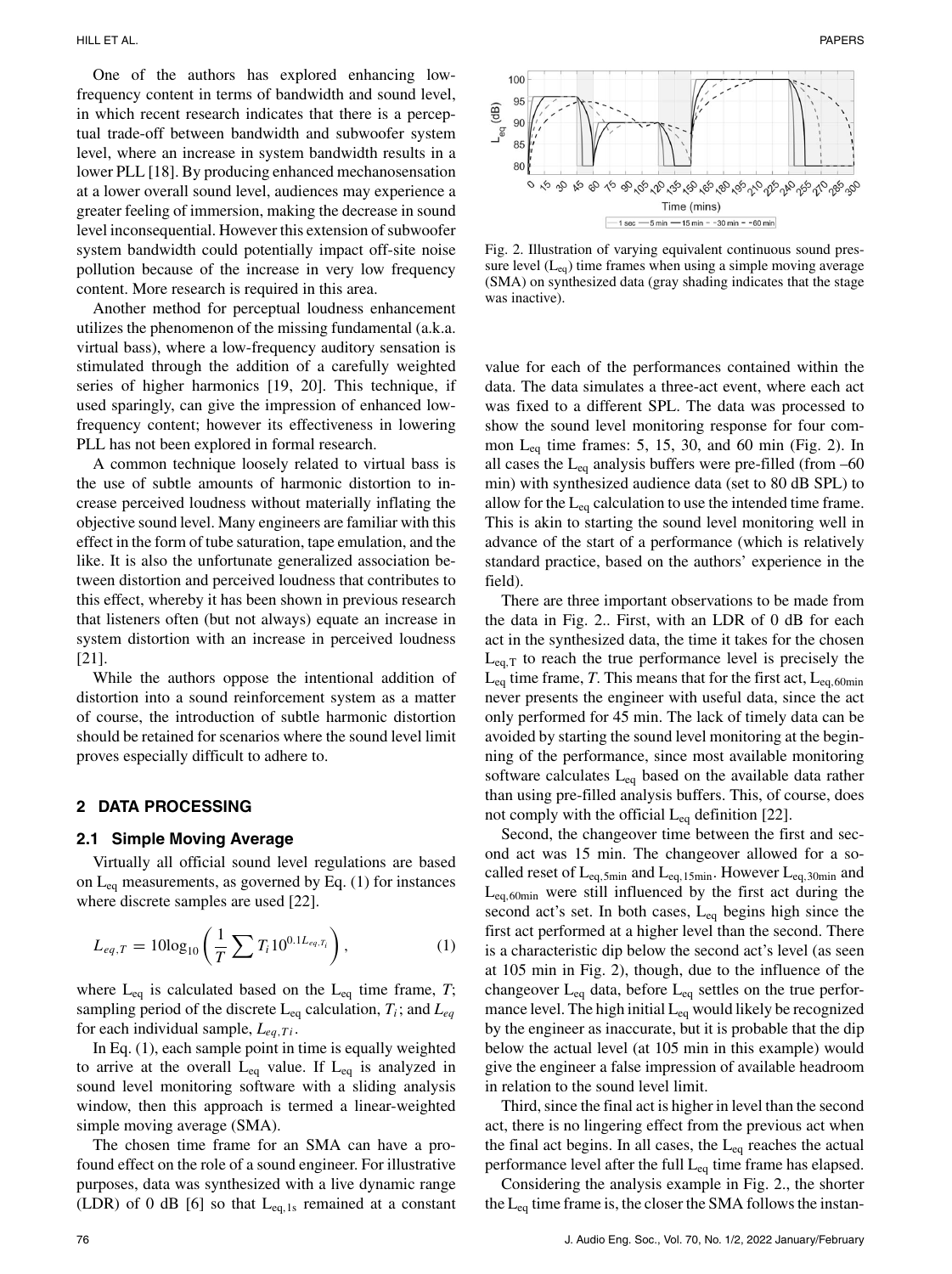One of the authors has explored enhancing lowfrequency content in terms of bandwidth and sound level, in which recent research indicates that there is a perceptual trade-off between bandwidth and subwoofer system level, where an increase in system bandwidth results in a lower PLL [18]. By producing enhanced mechanosensation at a lower overall sound level, audiences may experience a greater feeling of immersion, making the decrease in sound level inconsequential. However this extension of subwoofer system bandwidth could potentially impact off-site noise pollution because of the increase in very low frequency content. More research is required in this area.

Another method for perceptual loudness enhancement utilizes the phenomenon of the missing fundamental (a.k.a. virtual bass), where a low-frequency auditory sensation is stimulated through the addition of a carefully weighted series of higher harmonics [19, 20]. This technique, if used sparingly, can give the impression of enhanced lowfrequency content; however its effectiveness in lowering PLL has not been explored in formal research.

A common technique loosely related to virtual bass is the use of subtle amounts of harmonic distortion to increase perceived loudness without materially inflating the objective sound level. Many engineers are familiar with this effect in the form of tube saturation, tape emulation, and the like. It is also the unfortunate generalized association between distortion and perceived loudness that contributes to this effect, whereby it has been shown in previous research that listeners often (but not always) equate an increase in system distortion with an increase in perceived loudness [21].

While the authors oppose the intentional addition of distortion into a sound reinforcement system as a matter of course, the introduction of subtle harmonic distortion should be retained for scenarios where the sound level limit proves especially difficult to adhere to.

#### **2 DATA PROCESSING**

#### **2.1 Simple Moving Average**

Virtually all official sound level regulations are based on  $L_{eq}$  measurements, as governed by Eq. (1) for instances where discrete samples are used [22].

$$
L_{eq,T} = 10\log_{10}\left(\frac{1}{T}\sum T_i 10^{0.1L_{eq,T_i}}\right),\tag{1}
$$

where  $L_{eq}$  is calculated based on the  $L_{eq}$  time frame, *T*; sampling period of the discrete  $L_{eq}$  calculation,  $T_i$ ; and  $L_{eq}$ for each individual sample,  $L_{eq,Ti}$ .

In Eq. (1), each sample point in time is equally weighted to arrive at the overall  $L_{eq}$  value. If  $L_{eq}$  is analyzed in sound level monitoring software with a sliding analysis window, then this approach is termed a linear-weighted simple moving average (SMA).

The chosen time frame for an SMA can have a profound effect on the role of a sound engineer. For illustrative purposes, data was synthesized with a live dynamic range (LDR) of 0 dB [6] so that  $L_{eq,1s}$  remained at a constant



Fig. 2. Illustration of varying equivalent continuous sound pressure level  $(L_{eq})$  time frames when using a simple moving average (SMA) on synthesized data (gray shading indicates that the stage was inactive).

value for each of the performances contained within the data. The data simulates a three-act event, where each act was fixed to a different SPL. The data was processed to show the sound level monitoring response for four common  $L_{eq}$  time frames: 5, 15, 30, and 60 min (Fig. 2). In all cases the  $L_{eq}$  analysis buffers were pre-filled (from  $-60$ min) with synthesized audience data (set to 80 dB SPL) to allow for the  $L_{eq}$  calculation to use the intended time frame. This is akin to starting the sound level monitoring well in advance of the start of a performance (which is relatively standard practice, based on the authors' experience in the field).

There are three important observations to be made from the data in Fig. 2.. First, with an LDR of 0 dB for each act in the synthesized data, the time it takes for the chosen  $L_{eq,T}$  to reach the true performance level is precisely the  $L_{eq}$  time frame, *T*. This means that for the first act,  $L_{eq,60min}$ never presents the engineer with useful data, since the act only performed for 45 min. The lack of timely data can be avoided by starting the sound level monitoring at the beginning of the performance, since most available monitoring software calculates  $L_{eq}$  based on the available data rather than using pre-filled analysis buffers. This, of course, does not comply with the official  $L_{eq}$  definition [22].

Second, the changeover time between the first and second act was 15 min. The changeover allowed for a socalled reset of  $L_{eq,5min}$  and  $L_{eq,15min}$ . However  $L_{eq,30min}$  and  $L_{eq,60min}$  were still influenced by the first act during the second act's set. In both cases,  $L_{eq}$  begins high since the first act performed at a higher level than the second. There is a characteristic dip below the second act's level (as seen at 105 min in Fig. 2), though, due to the influence of the changeover  $L_{eq}$  data, before  $L_{eq}$  settles on the true performance level. The high initial  $L_{eq}$  would likely be recognized by the engineer as inaccurate, but it is probable that the dip below the actual level (at 105 min in this example) would give the engineer a false impression of available headroom in relation to the sound level limit.

Third, since the final act is higher in level than the second act, there is no lingering effect from the previous act when the final act begins. In all cases, the  $L_{eq}$  reaches the actual performance level after the full  $L_{eq}$  time frame has elapsed.

Considering the analysis example in Fig. 2., the shorter the  $L_{eq}$  time frame is, the closer the SMA follows the instan-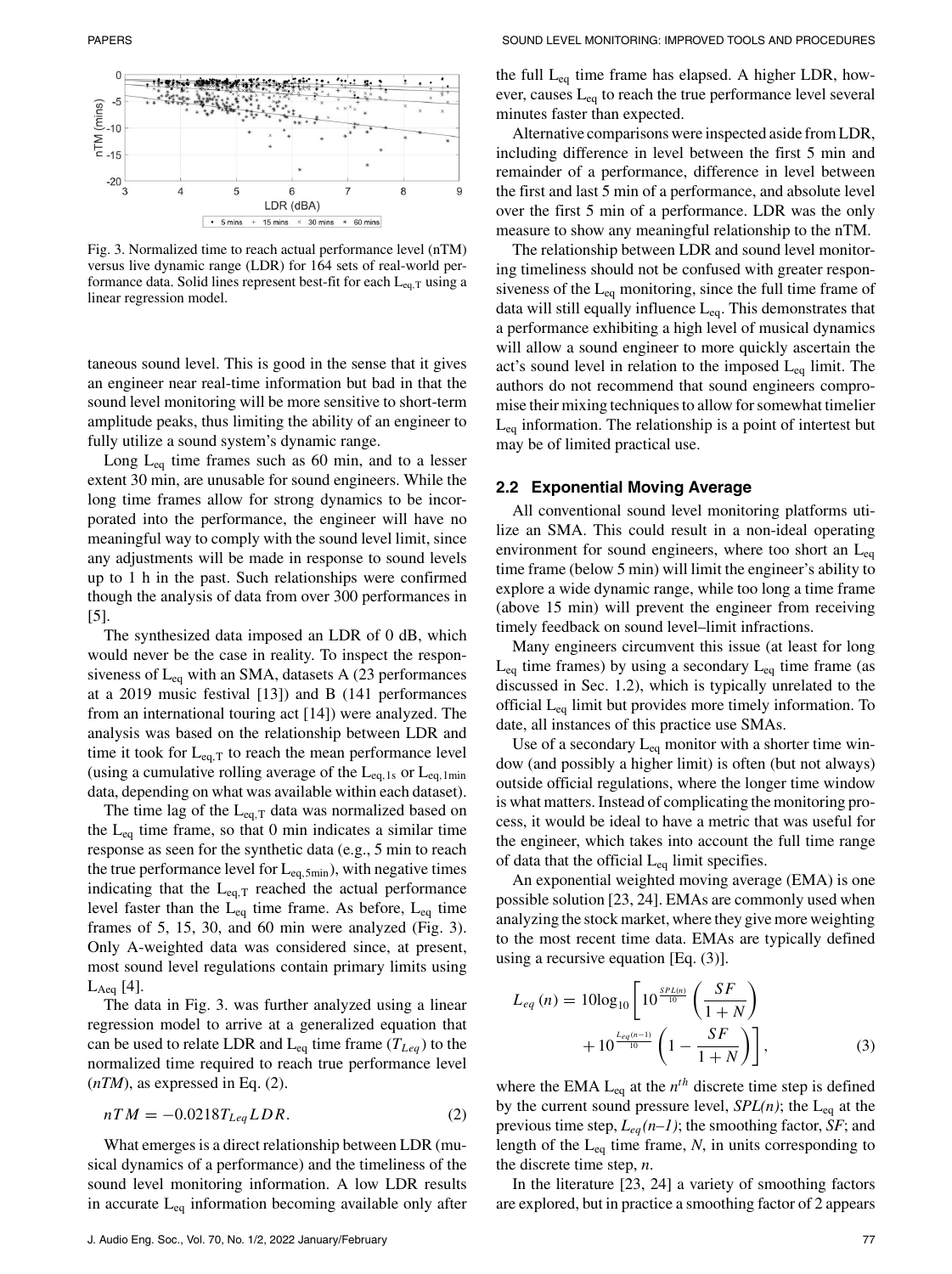

Fig. 3. Normalized time to reach actual performance level (nTM) versus live dynamic range (LDR) for 164 sets of real-world performance data. Solid lines represent best-fit for each  $L_{eq,T}$  using a linear regression model.

taneous sound level. This is good in the sense that it gives an engineer near real-time information but bad in that the sound level monitoring will be more sensitive to short-term amplitude peaks, thus limiting the ability of an engineer to fully utilize a sound system's dynamic range.

Long  $L_{eq}$  time frames such as 60 min, and to a lesser extent 30 min, are unusable for sound engineers. While the long time frames allow for strong dynamics to be incorporated into the performance, the engineer will have no meaningful way to comply with the sound level limit, since any adjustments will be made in response to sound levels up to 1 h in the past. Such relationships were confirmed though the analysis of data from over 300 performances in [5].

The synthesized data imposed an LDR of 0 dB, which would never be the case in reality. To inspect the responsiveness of  $L_{eq}$  with an SMA, datasets A (23 performances at a 2019 music festival [13]) and B (141 performances from an international touring act [14]) were analyzed. The analysis was based on the relationship between LDR and time it took for  $L_{eq,T}$  to reach the mean performance level (using a cumulative rolling average of the  $L_{eq, 1s}$  or  $L_{eq, 1min}$ data, depending on what was available within each dataset).

The time lag of the  $L_{eq,T}$  data was normalized based on the  $L_{eq}$  time frame, so that 0 min indicates a similar time response as seen for the synthetic data (e.g., 5 min to reach the true performance level for  $L_{eq,5min}$ ), with negative times indicating that the  $L_{eq,T}$  reached the actual performance level faster than the  $L_{eq}$  time frame. As before,  $L_{eq}$  time frames of 5, 15, 30, and 60 min were analyzed (Fig. 3). Only A-weighted data was considered since, at present, most sound level regulations contain primary limits using  $L_{Aeq}$  [4].

The data in Fig. 3. was further analyzed using a linear regression model to arrive at a generalized equation that can be used to relate LDR and  $L_{eq}$  time frame ( $T_{Leg}$ ) to the normalized time required to reach true performance level  $(nTM)$ , as expressed in Eq.  $(2)$ .

$$
nTM = -0.0218T_{Leq}LDR.
$$
\n<sup>(2)</sup>

What emerges is a direct relationship between LDR (musical dynamics of a performance) and the timeliness of the sound level monitoring information. A low LDR results in accurate  $L_{eq}$  information becoming available only after the full  $L_{eq}$  time frame has elapsed. A higher LDR, however, causes  $L_{eq}$  to reach the true performance level several minutes faster than expected.

Alternative comparisons were inspected aside from LDR, including difference in level between the first 5 min and remainder of a performance, difference in level between the first and last 5 min of a performance, and absolute level over the first 5 min of a performance. LDR was the only measure to show any meaningful relationship to the nTM.

The relationship between LDR and sound level monitoring timeliness should not be confused with greater responsiveness of the  $L_{eq}$  monitoring, since the full time frame of data will still equally influence  $L_{eq}$ . This demonstrates that a performance exhibiting a high level of musical dynamics will allow a sound engineer to more quickly ascertain the act's sound level in relation to the imposed  $L_{eq}$  limit. The authors do not recommend that sound engineers compromise their mixing techniques to allow for somewhat timelier  $L_{eq}$  information. The relationship is a point of intertest but may be of limited practical use.

#### **2.2 Exponential Moving Average**

All conventional sound level monitoring platforms utilize an SMA. This could result in a non-ideal operating environment for sound engineers, where too short an  $L_{eq}$ time frame (below 5 min) will limit the engineer's ability to explore a wide dynamic range, while too long a time frame (above 15 min) will prevent the engineer from receiving timely feedback on sound level–limit infractions.

Many engineers circumvent this issue (at least for long  $L_{eq}$  time frames) by using a secondary  $L_{eq}$  time frame (as discussed in Sec. 1.2), which is typically unrelated to the official  $L_{eq}$  limit but provides more timely information. To date, all instances of this practice use SMAs.

Use of a secondary  $L_{eq}$  monitor with a shorter time window (and possibly a higher limit) is often (but not always) outside official regulations, where the longer time window is what matters. Instead of complicating the monitoring process, it would be ideal to have a metric that was useful for the engineer, which takes into account the full time range of data that the official  $L_{eq}$  limit specifies.

An exponential weighted moving average (EMA) is one possible solution [23, 24]. EMAs are commonly used when analyzing the stock market, where they give more weighting to the most recent time data. EMAs are typically defined using a recursive equation [Eq. (3)].

$$
L_{eq} (n) = 10\log_{10} \left[ 10^{\frac{SPL(n)}{10}} \left( \frac{SF}{1+N} \right) + 10^{\frac{Leq(n-1)}{10}} \left( 1 - \frac{SF}{1+N} \right) \right],
$$
 (3)

where the EMA  $L_{eq}$  at the  $n<sup>th</sup>$  discrete time step is defined by the current sound pressure level,  $SPL(n)$ ; the L<sub>eq</sub> at the previous time step,  $L_{eq}(n-1)$ ; the smoothing factor, *SF*; and length of the  $L_{eq}$  time frame,  $N$ , in units corresponding to the discrete time step, *n*.

In the literature [23, 24] a variety of smoothing factors are explored, but in practice a smoothing factor of 2 appears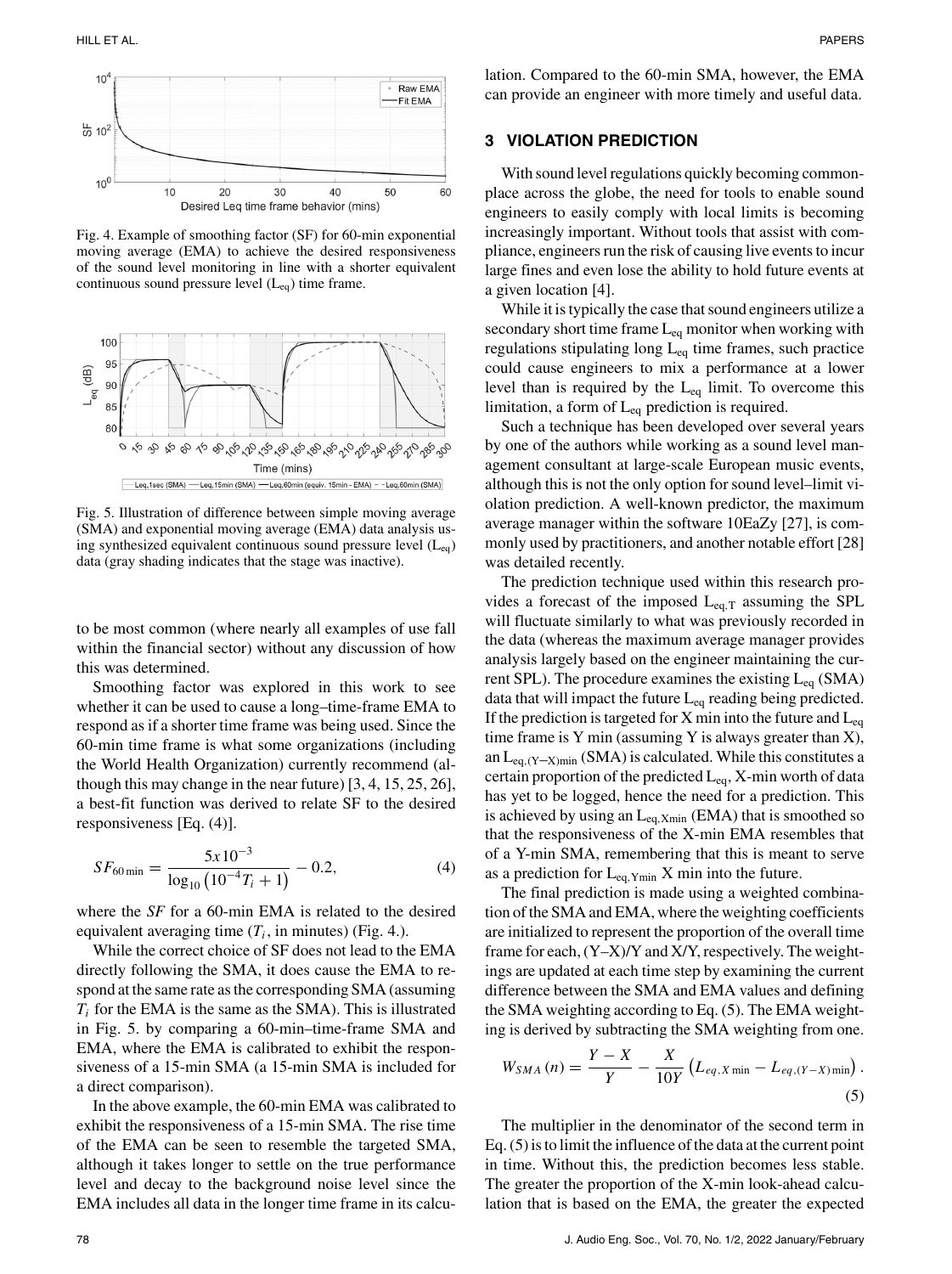

Fig. 4. Example of smoothing factor (SF) for 60-min exponential moving average (EMA) to achieve the desired responsiveness of the sound level monitoring in line with a shorter equivalent continuous sound pressure level  $(L_{eq})$  time frame.



Fig. 5. Illustration of difference between simple moving average (SMA) and exponential moving average (EMA) data analysis using synthesized equivalent continuous sound pressure level  $(L_{eq})$ data (gray shading indicates that the stage was inactive).

to be most common (where nearly all examples of use fall within the financial sector) without any discussion of how this was determined.

Smoothing factor was explored in this work to see whether it can be used to cause a long–time-frame EMA to respond as if a shorter time frame was being used. Since the 60-min time frame is what some organizations (including the World Health Organization) currently recommend (although this may change in the near future) [3, 4, 15, 25, 26], a best-fit function was derived to relate SF to the desired responsiveness [Eq. (4)].

$$
SF_{60\,\text{min}} = \frac{5x10^{-3}}{\log_{10}\left(10^{-4}T_i + 1\right)} - 0.2,\tag{4}
$$

where the *SF* for a 60-min EMA is related to the desired equivalent averaging time  $(T_i)$ , in minutes) (Fig. 4.).

While the correct choice of SF does not lead to the EMA directly following the SMA, it does cause the EMA to respond at the same rate as the corresponding SMA (assuming  $T_i$  for the EMA is the same as the SMA). This is illustrated in Fig. 5. by comparing a 60-min–time-frame SMA and EMA, where the EMA is calibrated to exhibit the responsiveness of a 15-min SMA (a 15-min SMA is included for a direct comparison).

In the above example, the 60-min EMA was calibrated to exhibit the responsiveness of a 15-min SMA. The rise time of the EMA can be seen to resemble the targeted SMA, although it takes longer to settle on the true performance level and decay to the background noise level since the EMA includes all data in the longer time frame in its calculation. Compared to the 60-min SMA, however, the EMA can provide an engineer with more timely and useful data.

## **3 VIOLATION PREDICTION**

With sound level regulations quickly becoming commonplace across the globe, the need for tools to enable sound engineers to easily comply with local limits is becoming increasingly important. Without tools that assist with compliance, engineers run the risk of causing live events to incur large fines and even lose the ability to hold future events at a given location [4].

While it is typically the case that sound engineers utilize a secondary short time frame  $L_{eq}$  monitor when working with regulations stipulating long  $L_{eq}$  time frames, such practice could cause engineers to mix a performance at a lower level than is required by the  $L_{eq}$  limit. To overcome this limitation, a form of  $L_{eq}$  prediction is required.

Such a technique has been developed over several years by one of the authors while working as a sound level management consultant at large-scale European music events, although this is not the only option for sound level–limit violation prediction. A well-known predictor, the maximum average manager within the software 10EaZy [27], is commonly used by practitioners, and another notable effort [28] was detailed recently.

The prediction technique used within this research provides a forecast of the imposed  $L_{eq,T}$  assuming the SPL will fluctuate similarly to what was previously recorded in the data (whereas the maximum average manager provides analysis largely based on the engineer maintaining the current SPL). The procedure examines the existing  $L_{eq}$  (SMA) data that will impact the future  $L_{eq}$  reading being predicted. If the prediction is targeted for X min into the future and  $L_{eq}$ time frame is Y min (assuming Y is always greater than  $X$ ), an  $L_{eq,(Y-X)min}$  (SMA) is calculated. While this constitutes a certain proportion of the predicted  $L_{eq}$ , X-min worth of data has yet to be logged, hence the need for a prediction. This is achieved by using an  $L_{eq, Xmin}$  (EMA) that is smoothed so that the responsiveness of the X-min EMA resembles that of a Y-min SMA, remembering that this is meant to serve as a prediction for  $L_{eq, Ymin}$  X min into the future.

The final prediction is made using a weighted combination of the SMA and EMA, where the weighting coefficients are initialized to represent the proportion of the overall time frame for each, (Y–X)/Y and X/Y, respectively. The weightings are updated at each time step by examining the current difference between the SMA and EMA values and defining the SMA weighting according to Eq. (5). The EMA weighting is derived by subtracting the SMA weighting from one.

$$
W_{SMA}(n) = \frac{Y - X}{Y} - \frac{X}{10Y} \left( L_{eq, X \min} - L_{eq, (Y - X) \min} \right).
$$
\n(5)

The multiplier in the denominator of the second term in Eq. (5) is to limit the influence of the data at the current point in time. Without this, the prediction becomes less stable. The greater the proportion of the X-min look-ahead calculation that is based on the EMA, the greater the expected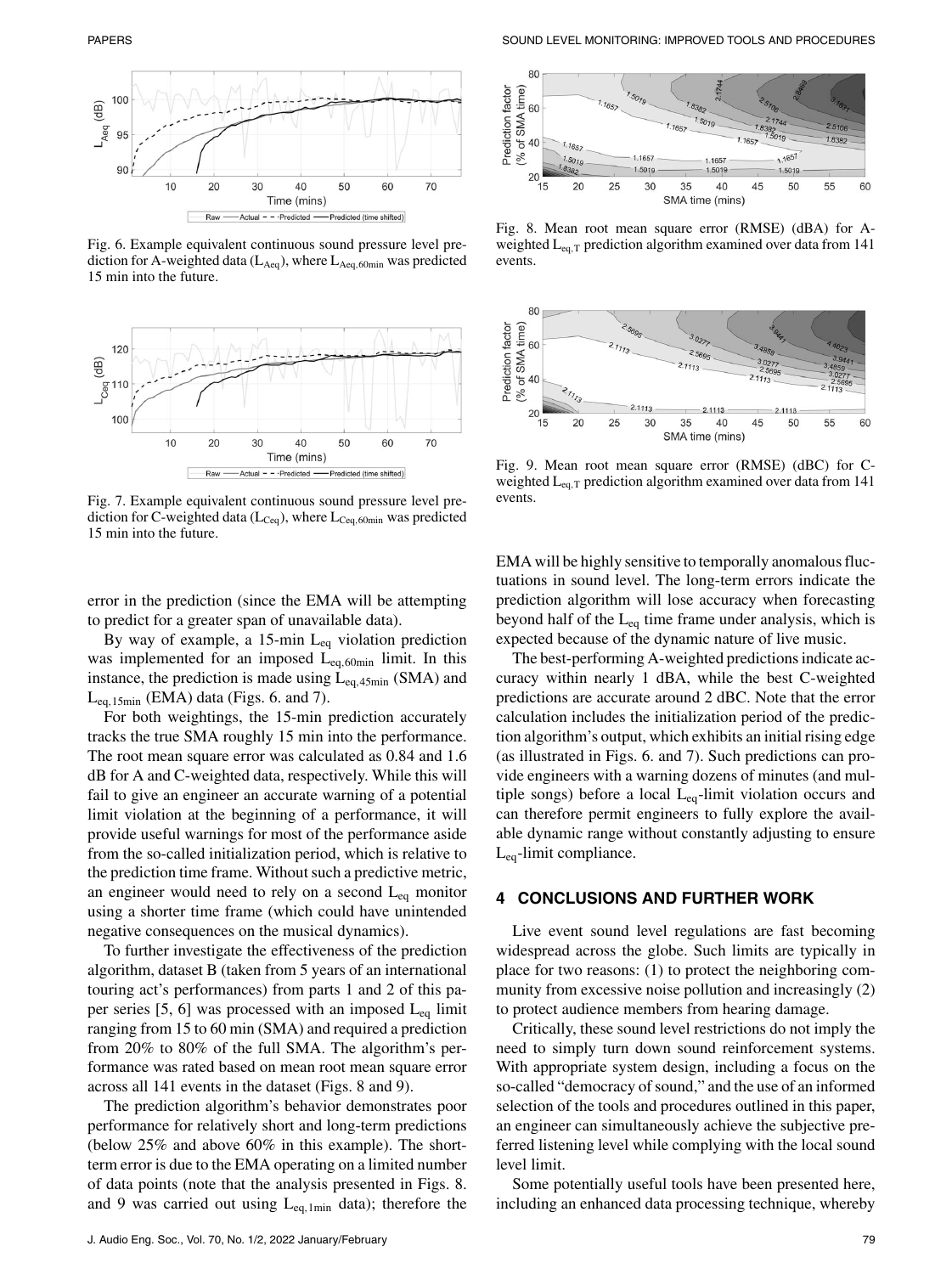

Fig. 6. Example equivalent continuous sound pressure level prediction for A-weighted data ( $L_{Aeq}$ ), where  $L_{Aeq,60min}$  was predicted 15 min into the future.



Fig. 7. Example equivalent continuous sound pressure level prediction for C-weighted data ( $L_{Ceq}$ ), where  $L_{Ceq,60min}$  was predicted 15 min into the future.

error in the prediction (since the EMA will be attempting to predict for a greater span of unavailable data).

By way of example, a 15-min  $L_{eq}$  violation prediction was implemented for an imposed Leq,60min limit. In this instance, the prediction is made using  $L_{ea,45min}$  (SMA) and  $L_{eq.15min}$  (EMA) data (Figs. 6. and 7).

For both weightings, the 15-min prediction accurately tracks the true SMA roughly 15 min into the performance. The root mean square error was calculated as 0.84 and 1.6 dB for A and C-weighted data, respectively. While this will fail to give an engineer an accurate warning of a potential limit violation at the beginning of a performance, it will provide useful warnings for most of the performance aside from the so-called initialization period, which is relative to the prediction time frame. Without such a predictive metric, an engineer would need to rely on a second  $L_{eq}$  monitor using a shorter time frame (which could have unintended negative consequences on the musical dynamics).

To further investigate the effectiveness of the prediction algorithm, dataset B (taken from 5 years of an international touring act's performances) from parts 1 and 2 of this paper series [5, 6] was processed with an imposed  $L_{eq}$  limit ranging from 15 to 60 min (SMA) and required a prediction from 20% to 80% of the full SMA. The algorithm's performance was rated based on mean root mean square error across all 141 events in the dataset (Figs. 8 and 9).

The prediction algorithm's behavior demonstrates poor performance for relatively short and long-term predictions (below 25% and above 60% in this example). The shortterm error is due to the EMA operating on a limited number of data points (note that the analysis presented in Figs. 8. and 9 was carried out using  $L_{eq,1min}$  data); therefore the



Fig. 8. Mean root mean square error (RMSE) (dBA) for Aweighted  $L_{eq,T}$  prediction algorithm examined over data from 141 events.



Fig. 9. Mean root mean square error (RMSE) (dBC) for Cweighted L<sub>eq,T</sub> prediction algorithm examined over data from 141 events.

EMA will be highly sensitive to temporally anomalous fluctuations in sound level. The long-term errors indicate the prediction algorithm will lose accuracy when forecasting beyond half of the  $L_{eq}$  time frame under analysis, which is expected because of the dynamic nature of live music.

The best-performing A-weighted predictions indicate accuracy within nearly 1 dBA, while the best C-weighted predictions are accurate around 2 dBC. Note that the error calculation includes the initialization period of the prediction algorithm's output, which exhibits an initial rising edge (as illustrated in Figs. 6. and 7). Such predictions can provide engineers with a warning dozens of minutes (and multiple songs) before a local Leq-limit violation occurs and can therefore permit engineers to fully explore the available dynamic range without constantly adjusting to ensure Leq-limit compliance.

# **4 CONCLUSIONS AND FURTHER WORK**

Live event sound level regulations are fast becoming widespread across the globe. Such limits are typically in place for two reasons: (1) to protect the neighboring community from excessive noise pollution and increasingly (2) to protect audience members from hearing damage.

Critically, these sound level restrictions do not imply the need to simply turn down sound reinforcement systems. With appropriate system design, including a focus on the so-called "democracy of sound," and the use of an informed selection of the tools and procedures outlined in this paper, an engineer can simultaneously achieve the subjective preferred listening level while complying with the local sound level limit.

Some potentially useful tools have been presented here, including an enhanced data processing technique, whereby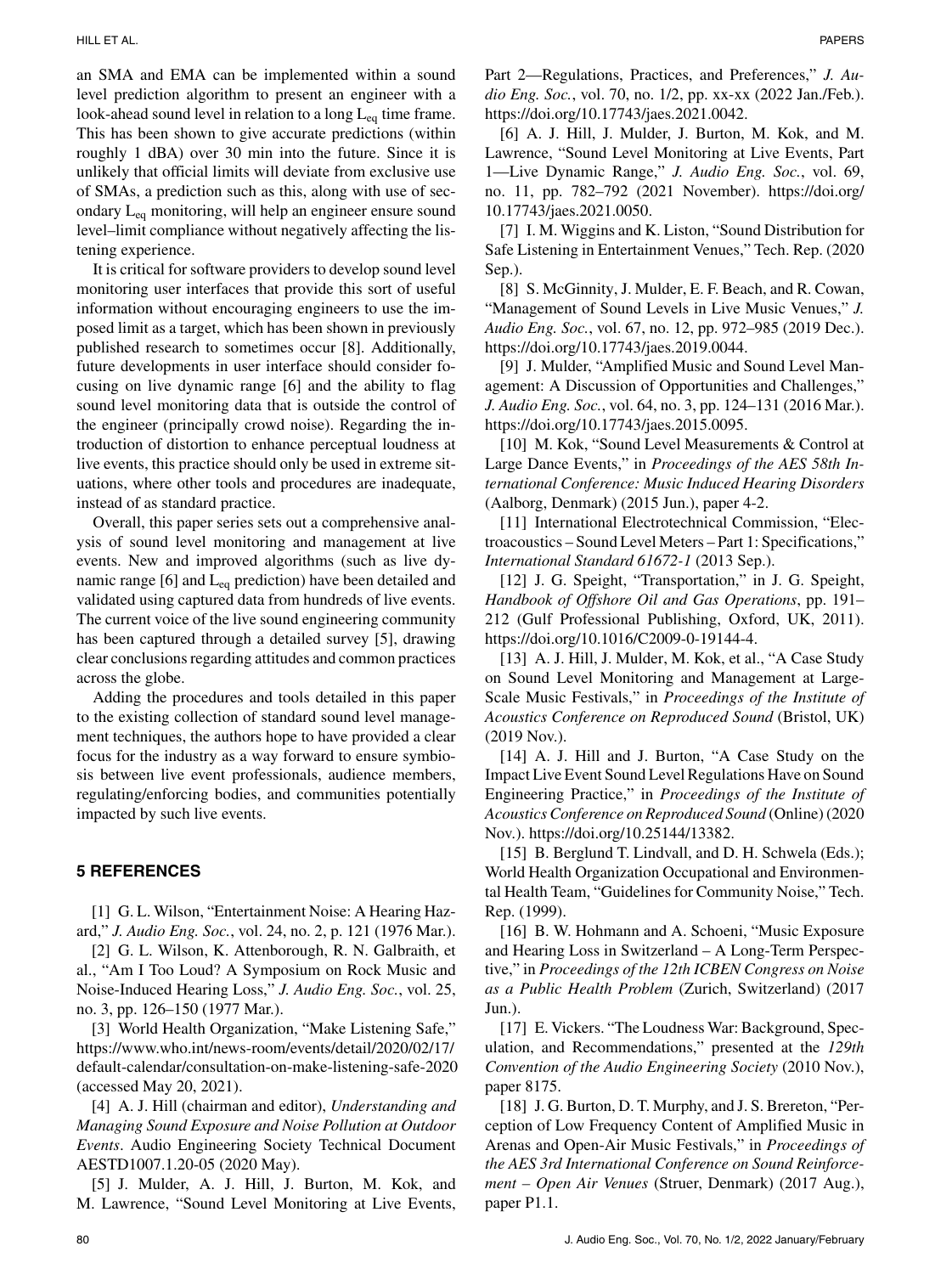an SMA and EMA can be implemented within a sound level prediction algorithm to present an engineer with a look-ahead sound level in relation to a long  $L_{eq}$  time frame. This has been shown to give accurate predictions (within roughly 1 dBA) over 30 min into the future. Since it is unlikely that official limits will deviate from exclusive use of SMAs, a prediction such as this, along with use of secondary Leq monitoring, will help an engineer ensure sound level–limit compliance without negatively affecting the listening experience.

It is critical for software providers to develop sound level monitoring user interfaces that provide this sort of useful information without encouraging engineers to use the imposed limit as a target, which has been shown in previously published research to sometimes occur [8]. Additionally, future developments in user interface should consider focusing on live dynamic range [6] and the ability to flag sound level monitoring data that is outside the control of the engineer (principally crowd noise). Regarding the introduction of distortion to enhance perceptual loudness at live events, this practice should only be used in extreme situations, where other tools and procedures are inadequate, instead of as standard practice.

Overall, this paper series sets out a comprehensive analysis of sound level monitoring and management at live events. New and improved algorithms (such as live dynamic range  $[6]$  and  $L_{eq}$  prediction) have been detailed and validated using captured data from hundreds of live events. The current voice of the live sound engineering community has been captured through a detailed survey [5], drawing clear conclusions regarding attitudes and common practices across the globe.

Adding the procedures and tools detailed in this paper to the existing collection of standard sound level management techniques, the authors hope to have provided a clear focus for the industry as a way forward to ensure symbiosis between live event professionals, audience members, regulating/enforcing bodies, and communities potentially impacted by such live events.

#### **5 REFERENCES**

[1] G. L. Wilson, "Entertainment Noise: A Hearing Hazard," *J. Audio Eng. Soc.*, vol. 24, no. 2, p. 121 (1976 Mar.).

[2] G. L. Wilson, K. Attenborough, R. N. Galbraith, et al., "Am I Too Loud? A Symposium on Rock Music and Noise-Induced Hearing Loss," *J. Audio Eng. Soc.*, vol. 25, no. 3, pp. 126–150 (1977 Mar.).

[3] World Health Organization, "Make Listening Safe," [https://www.who.int/news-room/events/detail/2020/02/17/](https://www.who.int/news-room/events/detail/2020/02/17/default-calendar/consultation-on-make-listening-safe-2020) [default-calendar/consultation-on-make-listening-safe-2020](https://www.who.int/news-room/events/detail/2020/02/17/default-calendar/consultation-on-make-listening-safe-2020) (accessed May 20, 2021).

[4] A. J. Hill (chairman and editor), *Understanding and Managing Sound Exposure and Noise Pollution at Outdoor Events*. Audio Engineering Society Technical Document AESTD1007.1.20-05 (2020 May).

[5] J. Mulder, A. J. Hill, J. Burton, M. Kok, and M. Lawrence, "Sound Level Monitoring at Live Events,

Part 2—Regulations, Practices, and Preferences," *J. Audio Eng. Soc.*, vol. 70, no. 1/2, pp. xx-xx (2022 Jan./Feb.). [https://doi.org/10.17743/jaes.2021.0042.](https://doi.org/10.17743/jaes.2021.0042)

[6] A. J. Hill, J. Mulder, J. Burton, M. Kok, and M. Lawrence, "Sound Level Monitoring at Live Events, Part 1—Live Dynamic Range," *J. Audio Eng. Soc.*, vol. 69, no. 11, pp. 782–792 (2021 November). [https://doi.org/](https://doi.org/10.17743/jaes.2021.0050) [10.17743/jaes.2021.0050.](https://doi.org/10.17743/jaes.2021.0050)

[7] I. M. Wiggins and K. Liston, "Sound Distribution for Safe Listening in Entertainment Venues," Tech. Rep. (2020 Sep.).

[8] S. McGinnity, J. Mulder, E. F. Beach, and R. Cowan, "Management of Sound Levels in Live Music Venues," *J. Audio Eng. Soc.*, vol. 67, no. 12, pp. 972–985 (2019 Dec.). [https://doi.org/10.17743/jaes.2019.0044.](https://doi.org/10.17743/jaes.2019.0044)

[9] J. Mulder, "Amplified Music and Sound Level Management: A Discussion of Opportunities and Challenges," *J. Audio Eng. Soc.*, vol. 64, no. 3, pp. 124–131 (2016 Mar.). [https://doi.org/10.17743/jaes.2015.0095.](https://doi.org/10.17743/jaes.2015.0095)

[10] M. Kok, "Sound Level Measurements & Control at Large Dance Events," in *Proceedings of the AES 58th International Conference: Music Induced Hearing Disorders* (Aalborg, Denmark) (2015 Jun.), paper 4-2.

[11] International Electrotechnical Commission, "Electroacoustics – Sound Level Meters – Part 1: Specifications," *International Standard 61672-1* (2013 Sep.).

[12] J. G. Speight, "Transportation," in J. G. Speight, *Handbook of Offshore Oil and Gas Operations*, pp. 191– 212 (Gulf Professional Publishing, Oxford, UK, 2011). [https://doi.org/10.1016/C2009-0-19144-4.](https://doi.org/10.1016/C2009-0-19144-4)

[13] A. J. Hill, J. Mulder, M. Kok, et al., "A Case Study on Sound Level Monitoring and Management at Large-Scale Music Festivals," in *Proceedings of the Institute of Acoustics Conference on Reproduced Sound* (Bristol, UK) (2019 Nov.).

[14] A. J. Hill and J. Burton, "A Case Study on the Impact Live Event Sound Level Regulations Have on Sound Engineering Practice," in *Proceedings of the Institute of Acoustics Conference on Reproduced Sound* (Online) (2020 Nov.). [https://doi.org/10.25144/13382.](https://doi.org/10.25144/13382)

[15] B. Berglund T. Lindvall, and D. H. Schwela (Eds.); World Health Organization Occupational and Environmental Health Team, "Guidelines for Community Noise," Tech. Rep. (1999).

[16] B. W. Hohmann and A. Schoeni, "Music Exposure and Hearing Loss in Switzerland – A Long-Term Perspective," in *Proceedings of the 12th ICBEN Congress on Noise as a Public Health Problem* (Zurich, Switzerland) (2017 Jun.).

[17] E. Vickers. "The Loudness War: Background, Speculation, and Recommendations," presented at the *129th Convention of the Audio Engineering Society* (2010 Nov.), paper 8175.

[18] J. G. Burton, D. T. Murphy, and J. S. Brereton, "Perception of Low Frequency Content of Amplified Music in Arenas and Open-Air Music Festivals," in *Proceedings of the AES 3rd International Conference on Sound Reinforcement – Open Air Venues* (Struer, Denmark) (2017 Aug.), paper P1.1.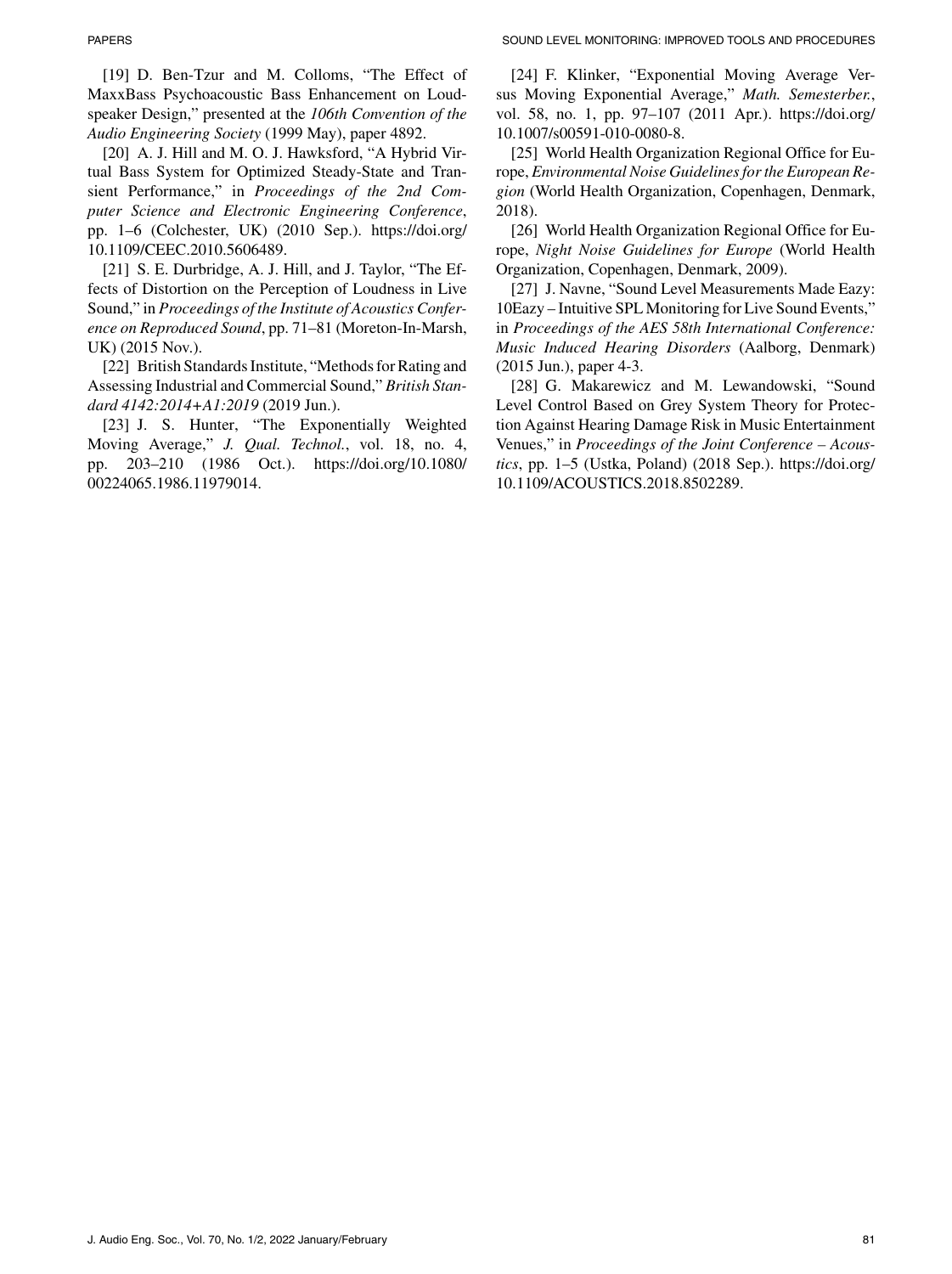[19] D. Ben-Tzur and M. Colloms, "The Effect of MaxxBass Psychoacoustic Bass Enhancement on Loudspeaker Design," presented at the *106th Convention of the Audio Engineering Society* (1999 May), paper 4892.

[20] A. J. Hill and M. O. J. Hawksford, "A Hybrid Virtual Bass System for Optimized Steady-State and Transient Performance," in *Proceedings of the 2nd Computer Science and Electronic Engineering Conference*, pp. 1–6 (Colchester, UK) (2010 Sep.). [https://doi.org/](https://doi.org/10.1109/CEEC.2010.5606489) [10.1109/CEEC.2010.5606489.](https://doi.org/10.1109/CEEC.2010.5606489)

[21] S. E. Durbridge, A. J. Hill, and J. Taylor, "The Effects of Distortion on the Perception of Loudness in Live Sound," in *Proceedings of the Institute of Acoustics Conference on Reproduced Sound*, pp. 71–81 (Moreton-In-Marsh, UK) (2015 Nov.).

[22] British Standards Institute, "Methods for Rating and Assessing Industrial and Commercial Sound," *British Standard 4142:2014+A1:2019* (2019 Jun.).

[23] J. S. Hunter, "The Exponentially Weighted Moving Average," *J. Qual. Technol.*, vol. 18, no. 4, pp. 203–210 (1986 Oct.). [https://doi.org/10.1080/](https://doi.org/10.1080/00224065.1986.11979014) [00224065.1986.11979014.](https://doi.org/10.1080/00224065.1986.11979014)

[24] F. Klinker, "Exponential Moving Average Versus Moving Exponential Average," *Math. Semesterber.*, vol. 58, no. 1, pp. 97–107 (2011 Apr.). [https://doi.org/](https://doi.org/10.1007/s00591-010-0080-8) [10.1007/s00591-010-0080-8.](https://doi.org/10.1007/s00591-010-0080-8)

[25] World Health Organization Regional Office for Europe, *Environmental Noise Guidelines for the European Region* (World Health Organization, Copenhagen, Denmark, 2018).

[26] World Health Organization Regional Office for Europe, *Night Noise Guidelines for Europe* (World Health Organization, Copenhagen, Denmark, 2009).

[27] J. Navne, "Sound Level Measurements Made Eazy: 10Eazy – Intuitive SPL Monitoring for Live Sound Events," in *Proceedings of the AES 58th International Conference: Music Induced Hearing Disorders* (Aalborg, Denmark) (2015 Jun.), paper 4-3.

[28] G. Makarewicz and M. Lewandowski, "Sound Level Control Based on Grey System Theory for Protection Against Hearing Damage Risk in Music Entertainment Venues," in *Proceedings of the Joint Conference – Acoustics*, pp. 1–5 (Ustka, Poland) (2018 Sep.). [https://doi.org/](https://doi.org/10.1109/ACOUSTICS.2018.8502289) [10.1109/ACOUSTICS.2018.8502289.](https://doi.org/10.1109/ACOUSTICS.2018.8502289)